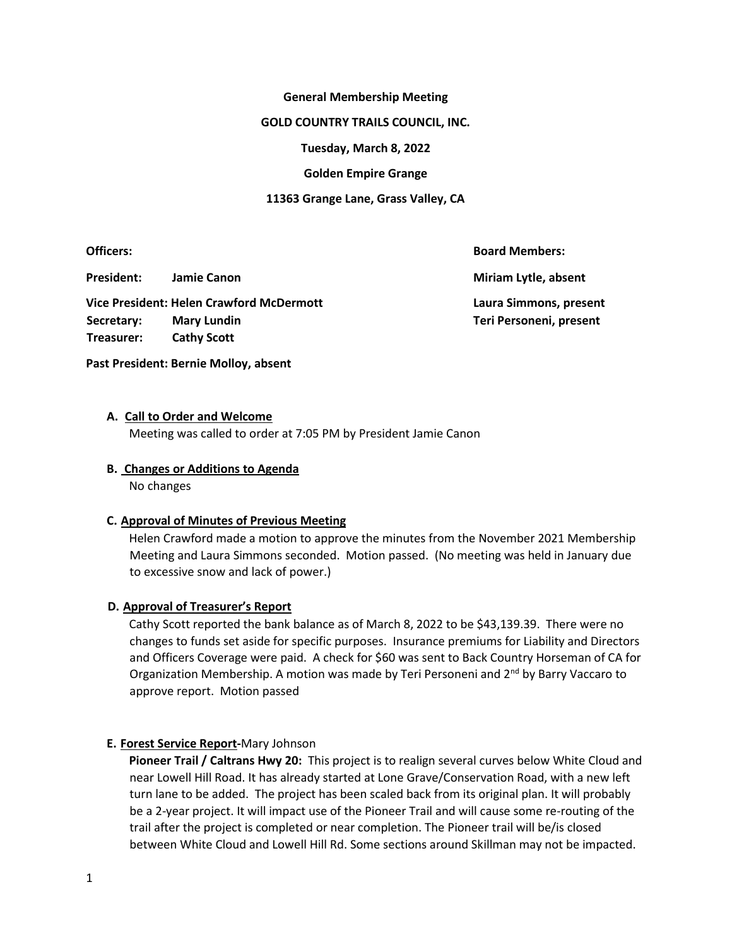### **General Membership Meeting**

#### **GOLD COUNTRY TRAILS COUNCIL, INC.**

**Tuesday, March 8, 2022** 

## **Golden Empire Grange**

## **11363 Grange Lane, Grass Valley, CA**

**Officers: Board Members:** 

**President:** Jamie Canon **Miriam Lytle, absent Miriam Lytle, absent** 

**Vice President: Helen Crawford McDermott Laura Simmons, present**  Secretary: Mary Lundin **Network and Secretary: A Construction Construction Teri Personeni, present Treasurer: Cathy Scott**

# **A. Call to Order and Welcome**

**Past President: Bernie Molloy, absent** 

Meeting was called to order at 7:05 PM by President Jamie Canon

## **B. Changes or Additions to Agenda**

No changes

# **C. Approval of Minutes of Previous Meeting**

Helen Crawford made a motion to approve the minutes from the November 2021 Membership Meeting and Laura Simmons seconded. Motion passed. (No meeting was held in January due to excessive snow and lack of power.)

# **D. Approval of Treasurer's Report**

Cathy Scott reported the bank balance as of March 8, 2022 to be \$43,139.39. There were no changes to funds set aside for specific purposes. Insurance premiums for Liability and Directors and Officers Coverage were paid. A check for \$60 was sent to Back Country Horseman of CA for Organization Membership. A motion was made by Teri Personeni and  $2<sup>nd</sup>$  by Barry Vaccaro to approve report. Motion passed

# **E. Forest Service Report-**Mary Johnson

**Pioneer Trail / Caltrans Hwy 20:** This project is to realign several curves below White Cloud and near Lowell Hill Road. It has already started at Lone Grave/Conservation Road, with a new left turn lane to be added. The project has been scaled back from its original plan. It will probably be a 2-year project. It will impact use of the Pioneer Trail and will cause some re-routing of the trail after the project is completed or near completion. The Pioneer trail will be/is closed between White Cloud and Lowell Hill Rd. Some sections around Skillman may not be impacted.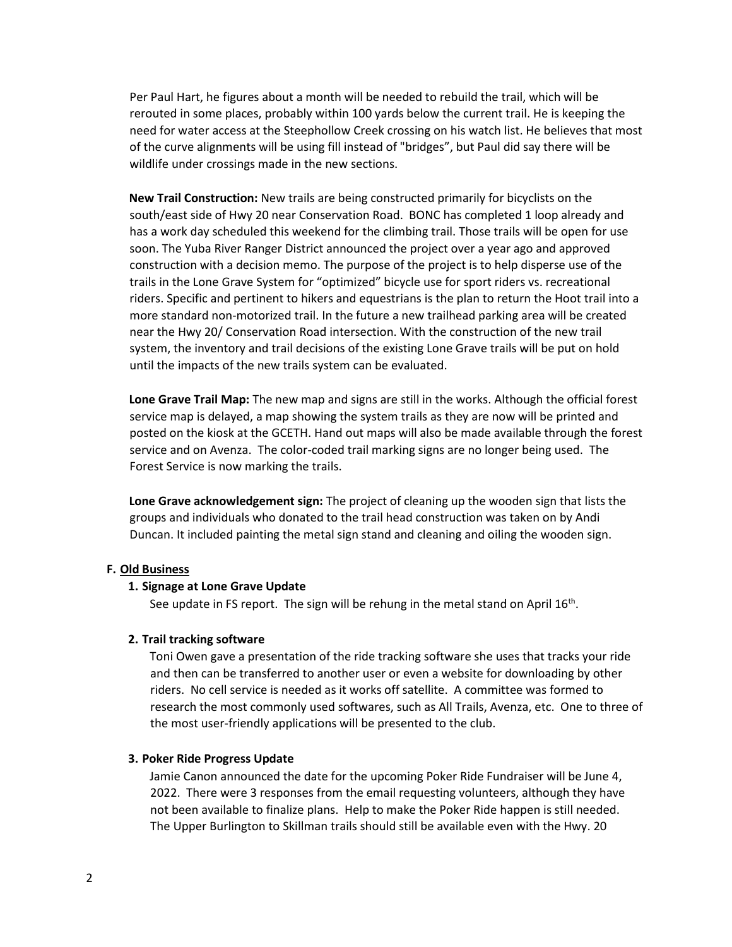Per Paul Hart, he figures about a month will be needed to rebuild the trail, which will be rerouted in some places, probably within 100 yards below the current trail. He is keeping the need for water access at the Steephollow Creek crossing on his watch list. He believes that most of the curve alignments will be using fill instead of "bridges", but Paul did say there will be wildlife under crossings made in the new sections. 

**New Trail Construction:** New trails are being constructed primarily for bicyclists on the south/east side of Hwy 20 near Conservation Road. BONC has completed 1 loop already and has a work day scheduled this weekend for the climbing trail. Those trails will be open for use soon. The Yuba River Ranger District announced the project over a year ago and approved construction with a decision memo. The purpose of the project is to help disperse use of the trails in the Lone Grave System for "optimized" bicycle use for sport riders vs. recreational riders. Specific and pertinent to hikers and equestrians is the plan to return the Hoot trail into a more standard non-motorized trail. In the future a new trailhead parking area will be created near the Hwy 20/ Conservation Road intersection. With the construction of the new trail system, the inventory and trail decisions of the existing Lone Grave trails will be put on hold until the impacts of the new trails system can be evaluated.

**Lone Grave Trail Map:** The new map and signs are still in the works. Although the official forest service map is delayed, a map showing the system trails as they are now will be printed and posted on the kiosk at the GCETH. Hand out maps will also be made available through the forest service and on Avenza. The color-coded trail marking signs are no longer being used. The Forest Service is now marking the trails.

**Lone Grave acknowledgement sign:** The project of cleaning up the wooden sign that lists the groups and individuals who donated to the trail head construction was taken on by Andi Duncan. It included painting the metal sign stand and cleaning and oiling the wooden sign.

# **F. Old Business**

#### **1. Signage at Lone Grave Update**

See update in FS report. The sign will be rehung in the metal stand on April  $16^{\text{th}}$ .

# **2. Trail tracking software**

Toni Owen gave a presentation of the ride tracking software she uses that tracks your ride and then can be transferred to another user or even a website for downloading by other riders. No cell service is needed as it works off satellite. A committee was formed to research the most commonly used softwares, such as All Trails, Avenza, etc. One to three of the most user-friendly applications will be presented to the club.

# **3. Poker Ride Progress Update**

Jamie Canon announced the date for the upcoming Poker Ride Fundraiser will be June 4, 2022. There were 3 responses from the email requesting volunteers, although they have not been available to finalize plans. Help to make the Poker Ride happen is still needed. The Upper Burlington to Skillman trails should still be available even with the Hwy. 20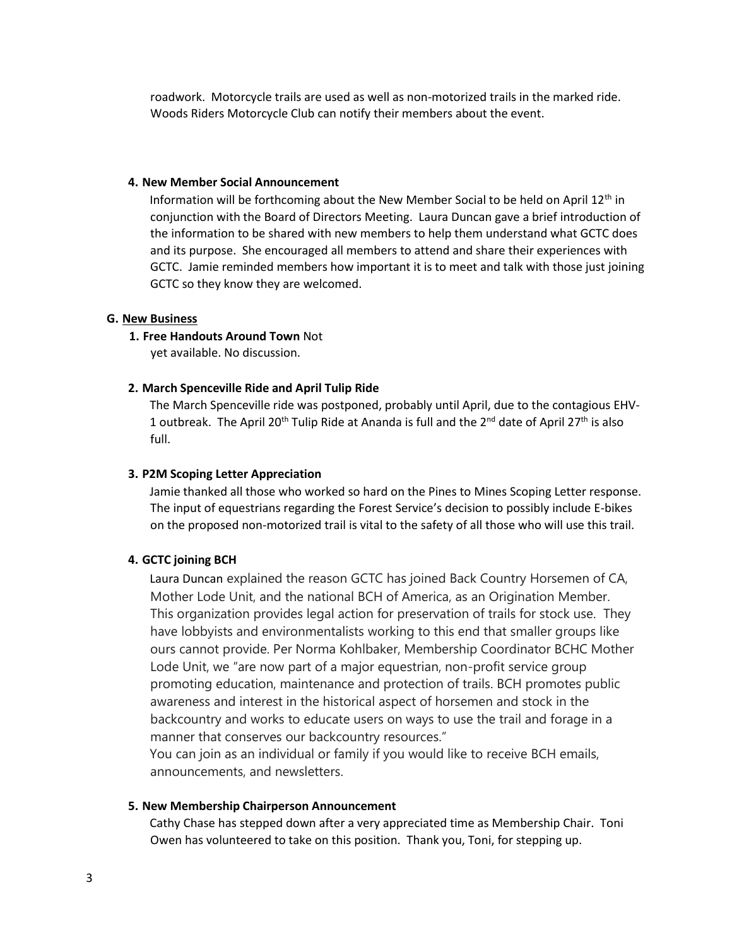roadwork. Motorcycle trails are used as well as non-motorized trails in the marked ride. Woods Riders Motorcycle Club can notify their members about the event.

#### **4. New Member Social Announcement**

Information will be forthcoming about the New Member Social to be held on April  $12<sup>th</sup>$  in conjunction with the Board of Directors Meeting. Laura Duncan gave a brief introduction of the information to be shared with new members to help them understand what GCTC does and its purpose. She encouraged all members to attend and share their experiences with GCTC. Jamie reminded members how important it is to meet and talk with those just joining GCTC so they know they are welcomed.

#### **G. New Business**

#### **1. Free Handouts Around Town** Not

yet available. No discussion.

# **2. March Spenceville Ride and April Tulip Ride**

The March Spenceville ride was postponed, probably until April, due to the contagious EHV-1 outbreak. The April 20<sup>th</sup> Tulip Ride at Ananda is full and the 2<sup>nd</sup> date of April 27<sup>th</sup> is also full.

## **3. P2M Scoping Letter Appreciation**

Jamie thanked all those who worked so hard on the Pines to Mines Scoping Letter response. The input of equestrians regarding the Forest Service's decision to possibly include E-bikes on the proposed non-motorized trail is vital to the safety of all those who will use this trail.

# **4. GCTC joining BCH**

Laura Duncan explained the reason GCTC has joined Back Country Horsemen of CA, Mother Lode Unit, and the national BCH of America, as an Origination Member. This organization provides legal action for preservation of trails for stock use. They have lobbyists and environmentalists working to this end that smaller groups like ours cannot provide. Per Norma Kohlbaker, Membership Coordinator BCHC Mother Lode Unit, we "are now part of a major equestrian, non-profit service group promoting education, maintenance and protection of trails. BCH promotes public awareness and interest in the historical aspect of horsemen and stock in the backcountry and works to educate users on ways to use the trail and forage in a manner that conserves our backcountry resources."

You can join as an individual or family if you would like to receive BCH emails, announcements, and newsletters.

# **5. New Membership Chairperson Announcement**

Cathy Chase has stepped down after a very appreciated time as Membership Chair. Toni Owen has volunteered to take on this position. Thank you, Toni, for stepping up.